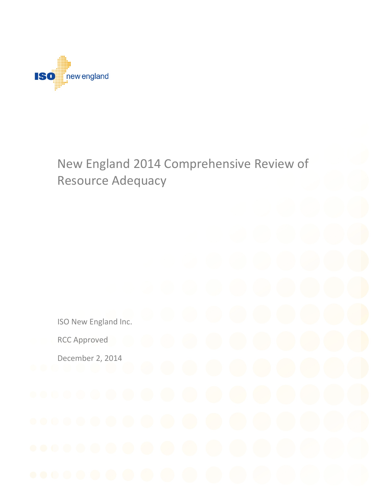

# New England 2014 Comprehensive Review of Resource Adequacy

ISO New England Inc. RCC Approved

December 2, 2014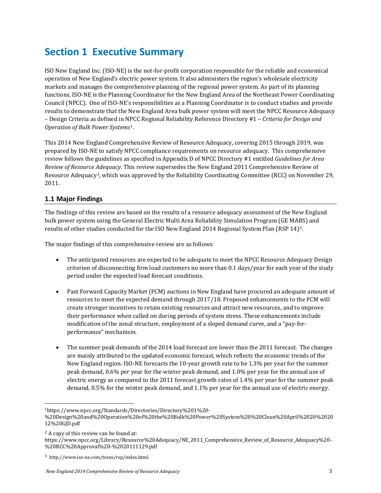## <span id="page-2-3"></span>**Section 1 Executive Summary**

ISO New England Inc. (ISO-NE) is the not-for-profit corporation responsible for the reliable and economical operation of New England's electric power system. It also administers the region's wholesale electricity markets and manages the comprehensive planning of the regional power system. As part of its planning functions, ISO-NE is the Planning Coordinator for the New England Area of the Northeast Power Coordinating Council (NPCC). One of ISO-NE's responsibilities as a Planning Coordinator is to conduct studies and provide results to demonstrate that the New England Area bulk power system will meet the NPCC Resource Adequacy – Design Criteria as defined in NPCC Regional Reliability Reference Directory #1 – *Criteria for Design and Operation of Bulk Power Systems*[1](#page-2-0).

This 2014 New England Comprehensive Review of Resource Adequacy, covering 2015 through 2019, was prepared by ISO-NE to satisfy NPCC compliance requirements on resource adequacy. This comprehensive review follows the guidelines as specified in Appendix D of NPCC Directory #1 entitled *Guidelines for Area Review of Resource Adequacy*. This review supersedes the New England 2011 Comprehensive Review of Resource Adequacy[2,](#page-2-1) which was approved by the Reliability Coordinating Committee (RCC) on November 29, 2011.

## <span id="page-2-4"></span>**1.1 Major Findings**

The findings of this review are based on the results of a resource adequacy assessment of the New England bulk power system using the General Electric Multi Area Reliability Simulation Program (GE MARS) and results of other studies conducted for the ISO New England 2014 Regional System Plan (RSP 14)[3.](#page-2-2)

The major findings of this comprehensive review are as follows:

- The anticipated resources are expected to be adequate to meet the NPCC Resource Adequacy Design criterion of disconnecting firm load customers no more than 0.1 days/year for each year of the study period under the expected load forecast conditions.
- Past Forward Capacity Market (FCM) auctions in New England have procured an adequate amount of resources to meet the expected demand through 2017/18. Proposed enhancements to the FCM will create stronger incentives to retain existing resources and attract new resources, and to improve their performance when called on during periods of system stress. These enhancements include modification of the zonal structure, employment of a sloped demand curve, and a "pay-forperformance" mechanism.
- The summer peak demands of the 2014 load forecast are lower than the 2011 forecast. The changes are mainly attributed to the updated economic forecast, which reflects the economic trends of the New England region. ISO-NE forecasts the 10-year growth rate to be 1.3% per year for the summer peak demand, 0.6% per year for the winter peak demand, and 1.0% per year for the annual use of electric energy as compared to the 2011 forecast growth rates of 1.4% per year for the summer peak demand, 0.5% for the winter peak demand, and 1.1% per year for the annual use of electric energy.

<span id="page-2-0"></span> <sup>1</sup>https://www.npcc.org/Standards/Directories/Directory%201%20-

<sup>%20</sup>Design%20and%20Operation%20of%20the%20Bulk%20Power%20System%20%20Clean%20April%2020%2020 12%20GJD.pdf

<span id="page-2-1"></span><sup>2</sup> A copy of this review can be found at:

https://www.npcc.org/Library/Resource%20Adequacy/NE\_2011\_Comprehensive\_Review\_of\_Resource\_Adequacy%20-%20RCC%20Approval%20-%2020111129.pdf

<span id="page-2-2"></span><sup>3</sup> http://www.iso-ne.com/trans/rsp/index.html.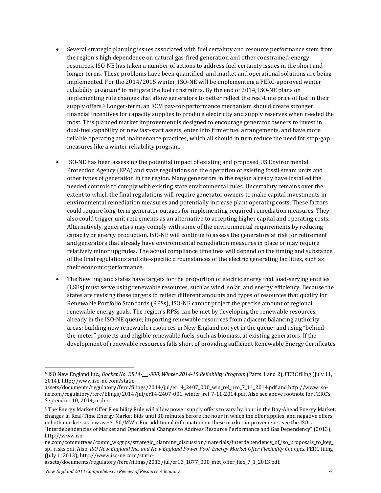- Several strategic planning issues associated with fuel certainty and resource performance stem from the region's high dependence on natural gas-fired generation and other constrained-energy resources. ISO-NE has taken a number of actions to address fuel-certainty issues in the short and longer terms. These problems have been quantified, and market and operational solutions are being implemented. For the 2014/2015 winter, ISO-NE will be implementing a FERC-approved winter reliability program<sup>[4](#page-3-0)</sup> to mitigate the fuel constraints. By the end of 2014, ISO-NE plans on implementin[g r](#page-3-1)ule changes that allow generators to better reflect the real-time price of fuel in their supply offers.5 Longer-term, an FCM pay-for-performance mechanism should create stronger financial incentives for capacity supplies to produce electricity and supply reserves when needed the most. This planned market improvement is designed to encourage generator owners to invest in dual-fuel capability or new fast-start assets, enter into firmer fuel arrangements, and have more reliable operating and maintenance practices, which all should in turn reduce the need for stop-gap measures like a winter reliability program.
- ISO-NE has been assessing the potential impact of existing and proposed US Environmental Protection Agency (EPA) and state regulations on the operation of existing fossil steam units and other types of generation in the region. Many generators in the region already have installed the needed controls to comply with existing state environmental rules. Uncertainty remains over the extent to which the final regulations will require generator owners to make capital investments in environmental remediation measures and potentially increase plant operating costs. These factors could require long-term generator outages for implementing required remediation measures. They also could trigger unit retirements as an alternative to accepting higher capital and operating costs. Alternatively, generators may comply with some of the environmental requirements by reducing capacity or energy production. ISO-NE will continue to assess the generators at risk for retirement and generators that already have environmental remediation measures in place or may require relatively minor upgrades. The actual compliance timelines will depend on the timing and substance of the final regulations and site-specific circumstances of the electric generating facilities, such as their economic performance.
- The New England states have targets for the proportion of electric energy that load-serving entities (LSEs) must serve using renewable resources, such as wind, solar, and energy efficiency. Because the states are revising these targets to reflect different amounts and types of resources that qualify for Renewable Portfolio Standards (RPSs), ISO-NE cannot project the precise amount of regional renewable energy goals. The region's RPSs can be met by developing the renewable resources already in the ISO-NE queue; importing renewable resources from adjacent balancing authority areas; building new renewable resources in New England not yet in the queue; and using "behindthe-meter" projects and eligible renewable fuels, such as biomass, at existing generators. If the development of renewable resources falls short of providing sufficient Renewable Energy Certificates

[assets/documents/regulatory/ferc/filings/2013/jul/er13\\_1877\\_000\\_mkt\\_offer\\_flex\\_7\\_1\\_2013.pdf.](http://www.iso-ne.com/static-assets/documents/regulatory/ferc/filings/2013/jul/er13_1877_000_mkt_offer_flex_7_1_2013.pdf)

*New England 2014 Comprehensive Review of Resource Adequacy* 4

<span id="page-3-0"></span> <sup>4</sup> ISO New England Inc., *Docket No. ER14-\_\_\_-000, Winter 2014-15 Reliability Program* (Parts 1 and 2), FERC filing (July 11, 2014)[, http://www.iso-ne.com/static-](http://www.iso-ne.com/static-assets/documents/regulatory/ferc/filings/2014/jul/er14_2407_000_win_rel_pro_7_11_2014.pdf)

[assets/documents/regulatory/ferc/filings/2014/jul/er14\\_2407\\_000\\_win\\_rel\\_pro\\_7\\_11\\_2014.pdf](http://www.iso-ne.com/static-assets/documents/regulatory/ferc/filings/2014/jul/er14_2407_000_win_rel_pro_7_11_2014.pdf) an[d http://www.iso](http://www.iso-ne.com/regulatory/ferc/filings/2014/jul/er14-2407-001_winter_rel_7-11-2014.pdf)[ne.com/regulatory/ferc/filings/2014/jul/er14-2407-001\\_winter\\_rel\\_7-11-2014.pdf.](http://www.iso-ne.com/regulatory/ferc/filings/2014/jul/er14-2407-001_winter_rel_7-11-2014.pdf) Also see above footnote for FERC's September 10, 2014, order.

<span id="page-3-1"></span><sup>5</sup> The Energy Market Offer Flexibility Rule will allow power supply offers to vary by hour in the Day-Ahead Energy Market, changes in Real-Time Energy Market bids until 30 minutes before the hour in which the offer applies, and negative offers in both markets as low as −\$150/MWh. For additional information on these market improvements, see the ISO's ["Interdependencies of Market and Operational Changes to Address Resource Performance and Gas Dependency" \(2013\),](http://www.iso-ne.com/committees/comm_wkgrps/strategic_planning_discussion/materials/interdependency_of_iso_proposals_to_key_spi_risks.pdf)  http://www.iso-

[ne.com/committees/comm\\_wkgrps/strategic\\_planning\\_discussion/materials/interdependency\\_of\\_iso\\_proposals\\_to\\_key\\_](http://www.iso-ne.com/committees/comm_wkgrps/strategic_planning_discussion/materials/interdependency_of_iso_proposals_to_key_spi_risks.pdf) [spi\\_risks.pdf.](http://www.iso-ne.com/committees/comm_wkgrps/strategic_planning_discussion/materials/interdependency_of_iso_proposals_to_key_spi_risks.pdf) Also, *ISO New England Inc. and New England Power Pool, Energy Market Offer Flexibility Changes*, FERC filing (July 1, 2013)[, http://www.iso-ne.com/static-](http://www.iso-ne.com/static-assets/documents/regulatory/ferc/filings/2013/jul/er13_1877_000_mkt_offer_flex_7_1_2013.pdf)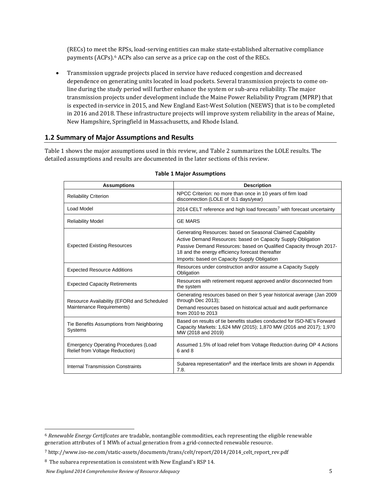(RECs) to meet the RPSs, load-serving entities can make state-established alternative compliance payments (ACPs).[6](#page-4-1) ACPs also can serve as a price cap on the cost of the RECs.

• Transmission upgrade projects placed in service have reduced congestion and decreased dependence on generating units located in load pockets. Several transmission projects to come online during the study period will further enhance the system or sub-area reliability. The major transmission projects under development include the Maine Power Reliability Program (MPRP) that is expected in-service in 2015, and New England East-West Solution (NEEWS) that is to be completed in 2016 and 2018. These infrastructure projects will improve system reliability in the areas of Maine, New Hampshire, Springfield in Massachusetts, and Rhode Island.

## <span id="page-4-4"></span>**1.2 Summary of Major Assumptions and Results**

<span id="page-4-0"></span>[Table 1](#page-4-0) shows the major assumptions used in this review, and [Table 2](#page-5-0) summarizes the LOLE results. The detailed assumptions and results are documented in the later sections of this review.

| <b>Assumptions</b>                                                            | <b>Description</b>                                                                                                                                                                                                                                                                                    |
|-------------------------------------------------------------------------------|-------------------------------------------------------------------------------------------------------------------------------------------------------------------------------------------------------------------------------------------------------------------------------------------------------|
| <b>Reliability Criterion</b>                                                  | NPCC Criterion: no more than once in 10 years of firm load<br>disconnection (LOLE of 0.1 days/year)                                                                                                                                                                                                   |
| Load Model                                                                    | 2014 CELT reference and high load forecasts <sup>7</sup> with forecast uncertainty                                                                                                                                                                                                                    |
| <b>Reliability Model</b>                                                      | <b>GE MARS</b>                                                                                                                                                                                                                                                                                        |
| <b>Expected Existing Resources</b>                                            | Generating Resources: based on Seasonal Claimed Capability<br>Active Demand Resources: based on Capacity Supply Obligation<br>Passive Demand Resources: based on Qualified Capacity through 2017-<br>18 and the energy efficiency forecast thereafter<br>Imports: based on Capacity Supply Obligation |
| <b>Expected Resource Additions</b>                                            | Resources under construction and/or assume a Capacity Supply<br>Obligation                                                                                                                                                                                                                            |
| <b>Expected Capacity Retirements</b>                                          | Resources with retirement request approved and/or disconnected from<br>the system                                                                                                                                                                                                                     |
| Resource Availability (EFORd and Scheduled<br>Maintenance Requirements)       | Generating resources based on their 5 year historical average (Jan 2009)<br>through Dec 2013);<br>Demand resources based on historical actual and audit performance<br>from 2010 to 2013                                                                                                              |
| Tie Benefits Assumptions from Neighboring<br>Systems                          | Based on results of tie benefits studies conducted for ISO-NE's Forward<br>Capacity Markets: 1,624 MW (2015); 1,870 MW (2016 and 2017); 1,970<br>MW (2018 and 2019)                                                                                                                                   |
| <b>Emergency Operating Procedures (Load</b><br>Relief from Voltage Reduction) | Assumed 1.5% of load relief from Voltage Reduction during OP 4 Actions<br>6 and 8                                                                                                                                                                                                                     |
| Internal Transmission Constraints                                             | Subarea representation <sup>8</sup> and the interface limits are shown in Appendix<br>7.8.                                                                                                                                                                                                            |

#### **Table 1 Major Assumptions**

<span id="page-4-1"></span> <sup>6</sup> *Renewable Energy Certificates* are tradable, nontangible commodities, each representing the eligible renewable generation attributes of 1 MWh of actual generation from a grid-connected renewable resource.

<span id="page-4-2"></span><sup>7</sup> http://www.iso-ne.com/static-assets/documents/trans/celt/report/2014/2014\_celt\_report\_rev.pdf

<span id="page-4-3"></span><sup>8</sup> The subarea representation is consistent with New England's RSP 14.

*New England 2014 Comprehensive Review of Resource Adequacy* 5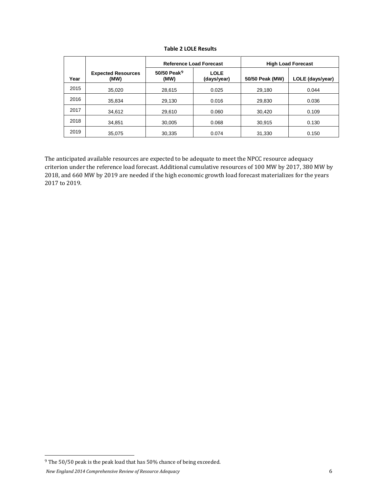<span id="page-5-0"></span>

|      |                                   | <b>Reference Load Forecast</b>  |                            |                 | <b>High Load Forecast</b> |
|------|-----------------------------------|---------------------------------|----------------------------|-----------------|---------------------------|
| Year | <b>Expected Resources</b><br>(MW) | 50/50 Peak <sup>9</sup><br>(MW) | <b>LOLE</b><br>(days/year) | 50/50 Peak (MW) | LOLE (days/year)          |
| 2015 | 35,020                            | 28,615                          | 0.025                      | 29,180          | 0.044                     |
| 2016 | 35.834                            | 29,130                          | 0.016                      | 29,830          | 0.036                     |
| 2017 | 34,612                            | 29,610                          | 0.060                      | 30.420          | 0.109                     |
| 2018 | 34,851                            | 30,005                          | 0.068                      | 30,915          | 0.130                     |
| 2019 | 35,075                            | 30,335                          | 0.074                      | 31,330          | 0.150                     |

**Table 2 LOLE Results** 

The anticipated available resources are expected to be adequate to meet the NPCC resource adequacy criterion under the reference load forecast. Additional cumulative resources of 100 MW by 2017, 380 MW by 2018, and 660 MW by 2019 are needed if the high economic growth load forecast materializes for the years 2017 to 2019.

<span id="page-5-1"></span> $^9$  The 50/50 peak is the peak load that has 50% chance of being exceeded.

*New England 2014 Comprehensive Review of Resource Adequacy* 6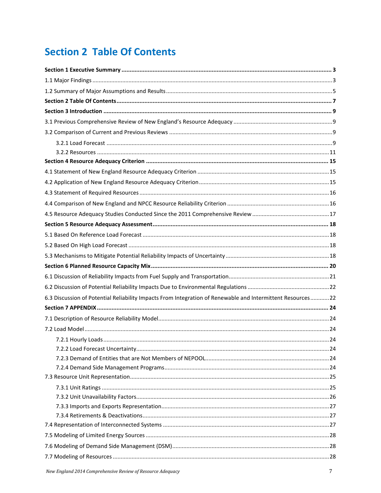## <span id="page-6-0"></span>**Section 2 Table Of Contents**

| 6.3 Discussion of Potential Reliability Impacts From Integration of Renewable and Intermittent Resources22 |  |
|------------------------------------------------------------------------------------------------------------|--|
|                                                                                                            |  |
|                                                                                                            |  |
|                                                                                                            |  |
|                                                                                                            |  |
|                                                                                                            |  |
|                                                                                                            |  |
|                                                                                                            |  |
|                                                                                                            |  |
|                                                                                                            |  |
|                                                                                                            |  |
|                                                                                                            |  |
|                                                                                                            |  |
|                                                                                                            |  |
|                                                                                                            |  |
|                                                                                                            |  |
|                                                                                                            |  |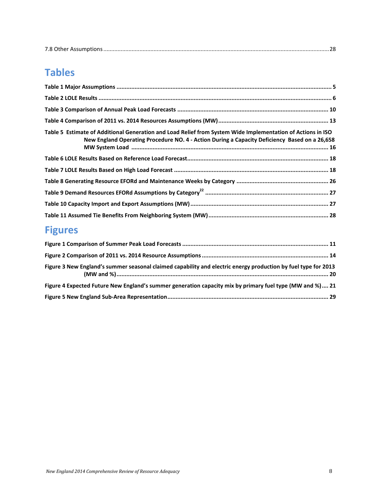## **Tables**

| Table 5 Estimate of Additional Generation and Load Relief from System Wide Implementation of Actions in ISO<br>New England Operating Procedure NO. 4 - Action During a Capacity Deficiency Based on a 26,658 |  |
|--------------------------------------------------------------------------------------------------------------------------------------------------------------------------------------------------------------|--|
|                                                                                                                                                                                                              |  |
|                                                                                                                                                                                                              |  |
|                                                                                                                                                                                                              |  |
|                                                                                                                                                                                                              |  |
|                                                                                                                                                                                                              |  |
|                                                                                                                                                                                                              |  |

## **Figures**

| Figure 3 New England's summer seasonal claimed capability and electric energy production by fuel type for 2013 |  |
|----------------------------------------------------------------------------------------------------------------|--|
| Figure 4 Expected Future New England's summer generation capacity mix by primary fuel type (MW and %) 21       |  |
|                                                                                                                |  |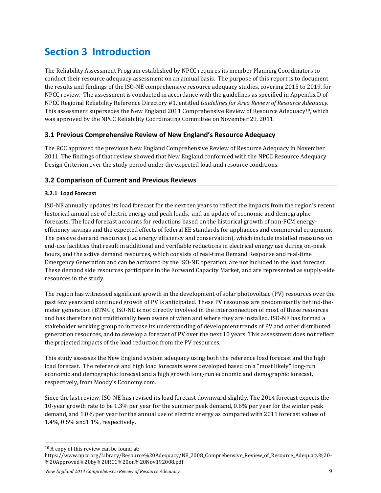## <span id="page-8-0"></span>**Section 3 Introduction**

The Reliability Assessment Program established by NPCC requires its member Planning Coordinators to conduct their resource adequacy assessment on an annual basis. The purpose of this report is to document the results and findings of the ISO-NE comprehensive resource adequacy studies, covering 2015 to 2019, for NPCC review. The assessment is conducted in accordance with the guidelines as specified in Appendix D of NPCC Regional Reliability Reference Directory #1, entitled *Guidelines for Area Review of Resource Adequacy*. This assessment supersedes the New England 2011 Comprehensive Review of Resource Adequacy<sup>[10](#page-8-4)</sup>, which was approved by the NPCC Reliability Coordinating Committee on November 29, 2011.

## <span id="page-8-1"></span>**3.1 Previous Comprehensive Review of New England's Resource Adequacy**

The RCC approved the previous New England Comprehensive Review of Resource Adequacy in November 2011. The findings of that review showed that New England conformed with the NPCC Resource Adequacy Design Criterion over the study period under the expected load and resource conditions.

## <span id="page-8-2"></span>**3.2 Comparison of Current and Previous Reviews**

## <span id="page-8-3"></span>**3.2.1 Load Forecast**

ISO-NE annually updates its load forecast for the next ten years to reflect the impacts from the region's recent historical annual use of electric energy and peak loads, and an update of economic and demographic forecasts. The load forecast accounts for reductions based on the historical growth of non-FCM energyefficiency savings and the expected effects of federal EE standards for appliances and commercial equipment. The passive demand resources (i.e. energy efficiency and conservation), which include installed measures on end-use facilities that result in additional and verifiable reductions in electrical energy use during on-peak hours, and the active demand resources, which consists of real-time Demand Response and real-time Emergency Generation and can be activated by the ISO-NE operation, are not included in the load forecast. These demand side resources participate in the Forward Capacity Market, and are represented as supply-side resources in the study.

The region has witnessed significant growth in the development of solar photovoltaic (PV) resources over the past few years and continued growth of PV is anticipated. These PV resources are predominantly behind-themeter generation (BTMG); ISO-NE is not directly involved in the interconnection of most of these resources and has therefore not traditionally been aware of when and where they are installed. ISO-NE has formed a stakeholder working group to increase its understanding of development trends of PV and other distributed generation resources, and to develop a forecast of PV over the next 10 years. This assessment does not reflect the projected impacts of the load reduction from the PV resources.

This study assesses the New England system adequacy using both the reference load forecast and the high load forecast. The reference and high load forecasts were developed based on a "most likely" long-run economic and demographic forecast and a high growth long-run economic and demographic forecast, respectively, from Moody's Economy.com.

Since the last review, ISO-NE has revised its load forecast downward slightly. The 2014 forecast expects the 10-year growth rate to be 1.3% per year for the summer peak demand, 0.6% per year for the winter peak demand, and 1.0% per year for the annual use of electric energy as compared with 2011 forecast values of 1.4%, 0.5% and1.1%, respectively.

*New England 2014 Comprehensive Review of Resource Adequacy* 9

<span id="page-8-4"></span> <sup>10</sup> A copy of this review can be found at:

https://www.npcc.org/Library/Resource%20Adequacy/NE\_2008\_Comprehensive\_Review\_of\_Resource\_Adequacy%20- %20Approved%20by%20RCC%20on%20Nov192008.pdf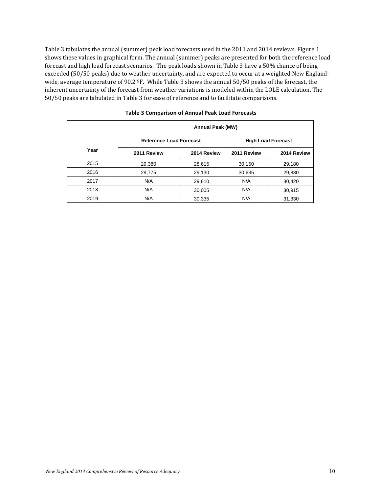Table 3 tabulates the annual (summer) peak load forecasts used in the 2011 and 2014 reviews. Figure 1 shows these values in graphical form. The annual (summer) peaks are presented for both the reference load forecast and high load forecast scenarios. The peak loads shown in Table 3 have a 50% chance of being exceeded (50/50 peaks) due to weather uncertainty, and are expected to occur at a weighted New Englandwide, average temperature of 90.2 ºF. While Table 3 shows the annual 50/50 peaks of the forecast, the inherent uncertainty of the forecast from weather variations is modeled within the LOLE calculation. The 50/50 peaks are tabulated in Table 3 for ease of reference and to facilitate comparisons.

|      | <b>Annual Peak (MW)</b>        |             |             |                           |
|------|--------------------------------|-------------|-------------|---------------------------|
|      | <b>Reference Load Forecast</b> |             |             | <b>High Load Forecast</b> |
| Year | 2011 Review                    | 2014 Review | 2011 Review | 2014 Review               |
| 2015 | 29,380                         | 28,615      | 30,150      | 29,180                    |
| 2016 | 29,775                         | 29,130      | 30,635      | 29,830                    |
| 2017 | N/A                            | 29,610      | N/A         | 30,420                    |
| 2018 | N/A                            | 30,005      | N/A         | 30,915                    |
| 2019 | N/A                            | 30,335      | N/A         | 31,330                    |

#### <span id="page-9-0"></span>**Table 3 Comparison of Annual Peak Load Forecasts**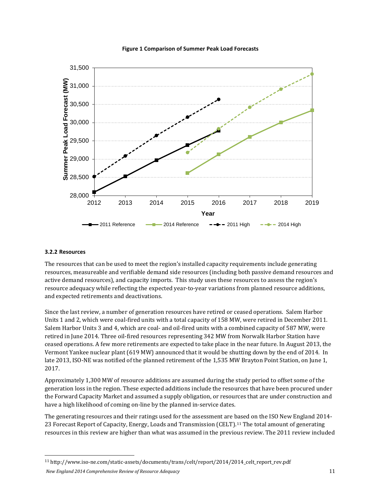<span id="page-10-1"></span>

#### **Figure 1 Comparison of Summer Peak Load Forecasts**

#### <span id="page-10-0"></span>**3.2.2 Resources**

The resources that can be used to meet the region's installed capacity requirements include generating resources, measureable and verifiable demand side resources (including both passive demand resources and active demand resources), and capacity imports. This study uses these resources to assess the region's resource adequacy while reflecting the expected year-to-year variations from planned resource additions, and expected retirements and deactivations.

Since the last review, a number of generation resources have retired or ceased operations. Salem Harbor Units 1 and 2, which were coal-fired units with a total capacity of 158 MW, were retired in December 2011. Salem Harbor Units 3 and 4, which are coal- and oil-fired units with a combined capacity of 587 MW, were retired in June 2014. Three oil-fired resources representing 342 MW from Norwalk Harbor Station have ceased operations. A few more retirements are expected to take place in the near future. In August 2013, the Vermont Yankee nuclear plant (619 MW) announced that it would be shutting down by the end of 2014. In late 2013, ISO-NE was notified of the planned retirement of the 1,535 MW Brayton Point Station, on June 1, 2017.

Approximately 1,300 MW of resource additions are assumed during the study period to offset some of the generation loss in the region. These expected additions include the resources that have been procured under the Forward Capacity Market and assumed a supply obligation, or resources that are under construction and have a high likelihood of coming on-line by the planned in-service dates.

The generating resources and their ratings used for the assessment are based on the ISO New England 2014- 23 Forecast Report of Capacity, Energy, Loads and Transmission (CELT).<sup>[11](#page-10-2)</sup> The total amount of generating resources in this review are higher than what was assumed in the previous review. The 2011 review included

<span id="page-10-2"></span>*New England 2014 Comprehensive Review of Resource Adequacy* 11 11 http://www.iso-ne.com/static-assets/documents/trans/celt/report/2014/2014\_celt\_report\_rev.pdf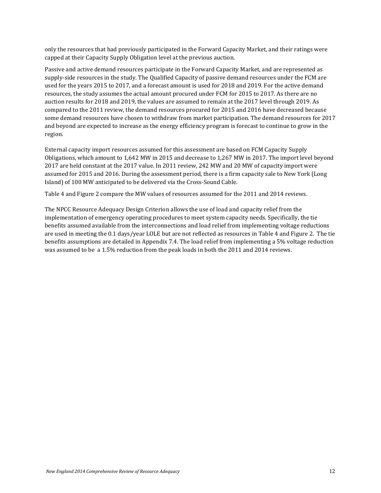only the resources that had previously participated in the Forward Capacity Market, and their ratings were capped at their Capacity Supply Obligation level at the previous auction.

Passive and active demand resources participate in the Forward Capacity Market, and are represented as supply-side resources in the study. The Qualified Capacity of passive demand resources under the FCM are used for the years 2015 to 2017, and a forecast amount is used for 2018 and 2019. For the active demand resources, the study assumes the actual amount procured under FCM for 2015 to 2017. As there are no auction results for 2018 and 2019, the values are assumed to remain at the 2017 level through 2019. As compared to the 2011 review, the demand resources procured for 2015 and 2016 have decreased because some demand resources have chosen to withdraw from market participation. The demand resources for 2017 and beyond are expected to increase as the energy efficiency program is forecast to continue to grow in the region.

External capacity import resources assumed for this assessment are based on FCM Capacity Supply Obligations, which amount to 1,642 MW in 2015 and decrease to 1,267 MW in 2017. The import level beyond 2017 are held constant at the 2017 value. In 2011 review, 242 MW and 20 MW of capacity import were assumed for 2015 and 2016. During the assessment period, there is a firm capacity sale to New York (Long Island) of 100 MW anticipated to be delivered via the Cross-Sound Cable.

Table 4 and Figure 2 compare the MW values of resources assumed for the 2011 and 2014 reviews.

The NPCC Resource Adequacy Design Criterion allows the use of load and capacity relief from the implementation of emergency operating procedures to meet system capacity needs. Specifically, the tie benefits assumed available from the interconnections and load relief from implementing voltage reductions are used in meeting the 0.1 days/year LOLE but are not reflected as resources in Table 4 and Figure 2. The tie benefits assumptions are detailed in Appendix 7.4. The load relief from implementing a 5% voltage reduction was assumed to be a 1.5% reduction from the peak loads in both the 2011 and 2014 reviews.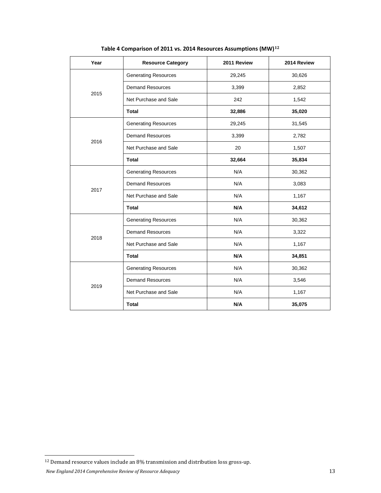<span id="page-12-0"></span>

| Year | <b>Resource Category</b>    | 2011 Review | 2014 Review |
|------|-----------------------------|-------------|-------------|
|      | <b>Generating Resources</b> | 29,245      | 30,626      |
|      | <b>Demand Resources</b>     | 3,399       | 2,852       |
| 2015 | Net Purchase and Sale       | 242         | 1,542       |
|      | <b>Total</b>                | 32,886      | 35,020      |
|      | <b>Generating Resources</b> | 29,245      | 31,545      |
|      | <b>Demand Resources</b>     | 3,399       | 2,782       |
| 2016 | Net Purchase and Sale       | 20          | 1,507       |
|      | <b>Total</b>                | 32,664      | 35,834      |
|      | <b>Generating Resources</b> | N/A         | 30,362      |
|      | <b>Demand Resources</b>     | N/A         | 3,083       |
| 2017 | Net Purchase and Sale       | N/A         | 1,167       |
|      | <b>Total</b>                | N/A         | 34,612      |
|      | <b>Generating Resources</b> | N/A         | 30,362      |
|      | <b>Demand Resources</b>     | N/A         | 3,322       |
| 2018 | Net Purchase and Sale       | N/A         | 1,167       |
|      | <b>Total</b>                | N/A         | 34,851      |
| 2019 | <b>Generating Resources</b> | N/A         | 30,362      |
|      | <b>Demand Resources</b>     | N/A         | 3,546       |
|      | Net Purchase and Sale       | N/A         | 1,167       |
|      | <b>Total</b>                | N/A         | 35,075      |

**Table 4 Comparison of 2011 vs. 2014 Resources Assumptions (MW)[12](#page-12-1)**

<span id="page-12-1"></span> <sup>12</sup> Demand resource values include an 8% transmission and distribution loss gross-up.

*New England 2014 Comprehensive Review of Resource Adequacy* 13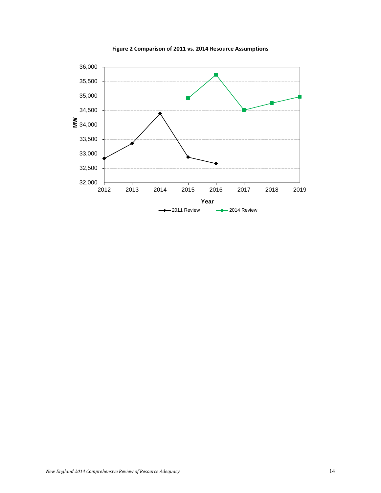<span id="page-13-0"></span>

**Figure 2 Comparison of 2011 vs. 2014 Resource Assumptions**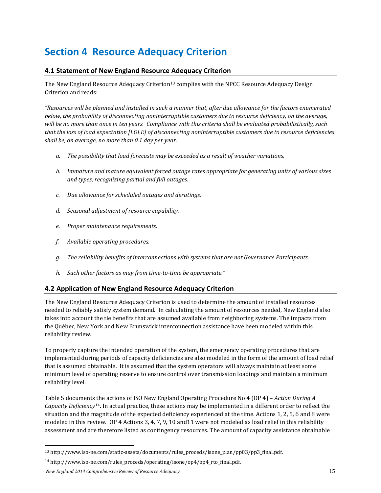## <span id="page-14-0"></span>**Section 4 Resource Adequacy Criterion**

## <span id="page-14-1"></span>**4.1 Statement of New England Resource Adequacy Criterion**

The New England Resource Adequacy Criterion<sup>[13](#page-14-3)</sup> complies with the NPCC Resource Adequacy Design Criterion and reads:

*"Resources will be planned and installed in such a manner that, after due allowance for the factors enumerated below, the probability of disconnecting noninterruptible customers due to resource deficiency, on the average, will be no more than once in ten years. Compliance with this criteria shall be evaluated probabilistically, such that the loss of load expectation [LOLE] of disconnecting noninterruptible customers due to resource deficiencies shall be, on average, no more than 0.1 day per year.*

- *a. The possibility that load forecasts may be exceeded as a result of weather variations.*
- *b. Immature and mature equivalent forced outage rates appropriate for generating units of various sizes and types, recognizing partial and full outages.*
- *c. Due allowance for scheduled outages and deratings.*
- *d. Seasonal adjustment of resource capability.*
- *e. Proper maintenance requirements.*
- *f. Available operating procedures.*
- *g. The reliability benefits of interconnections with systems that are not Governance Participants.*
- *h. Such other factors as may from time-to-time be appropriate."*

## <span id="page-14-2"></span>**4.2 Application of New England Resource Adequacy Criterion**

The New England Resource Adequacy Criterion is used to determine the amount of installed resources needed to reliably satisfy system demand. In calculating the amount of resources needed, New England also takes into account the tie benefits that are assumed available from neighboring systems. The impacts from the Québec, New York and New Brunswick interconnection assistance have been modeled within this reliability review.

To properly capture the intended operation of the system, the emergency operating procedures that are implemented during periods of capacity deficiencies are also modeled in the form of the amount of load relief that is assumed obtainable. It is assumed that the system operators will always maintain at least some minimum level of operating reserve to ensure control over transmission loadings and maintain a minimum reliability level.

Table 5 documents the actions of ISO New England Operating Procedure No 4 (OP 4) – *Action During A Capacity Deficiency*[14.](#page-14-4) In actual practice, these actions may be implemented in a different order to reflect the situation and the magnitude of the expected deficiency experienced at the time. Actions 1, 2, 5, 6 and 8 were modeled in this review. OP 4 Actions 3, 4, 7, 9, 10 and11 were not modeled as load relief in this reliability assessment and are therefore listed as contingency resources. The amount of capacity assistance obtainable

<span id="page-14-3"></span> <sup>13</sup> http://www.iso-ne.com/static-assets/documents/rules\_proceds/isone\_plan/pp03/pp3\_final.pdf.

<span id="page-14-4"></span><sup>14</sup> [http://www.iso-ne.com/rules\\_proceds/operating/isone/op4/op4\\_rto\\_final.pdf.](http://www.iso-ne.com/rules_proceds/operating/isone/op4/op4_rto_final.pdf)

*New England 2014 Comprehensive Review of Resource Adequacy* 15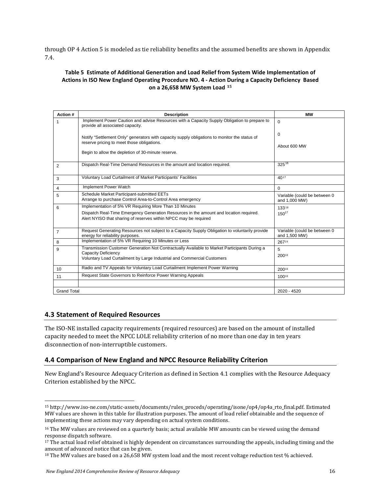through OP 4 Action 5 is modeled as tie reliability benefits and the assumed benefits are shown in Appendix 7.4.

#### <span id="page-15-2"></span>**Table 5 Estimate of Additional Generation and Load Relief from System Wide Implementation of Actions in ISO New England Operating Procedure NO. 4 - Action During a Capacity Deficiency Based on a 26,658 MW System Load [15](#page-15-3)**

| Action #           | <b>Description</b>                                                                                                                                         | МW                                            |
|--------------------|------------------------------------------------------------------------------------------------------------------------------------------------------------|-----------------------------------------------|
| 1                  | Implement Power Caution and advise Resources with a Capacity Supply Obligation to prepare to<br>provide all associated capacity.                           | $\Omega$                                      |
|                    | Notify "Settlement Only" generators with capacity supply obligations to monitor the status of<br>reserve pricing to meet those obligations.                | $\Omega$                                      |
|                    |                                                                                                                                                            | About 600 MW                                  |
|                    | Begin to allow the depletion of 30-minute reserve.                                                                                                         |                                               |
| 2                  | Dispatch Real-Time Demand Resources in the amount and location required.                                                                                   | $325^{16}$                                    |
| 3                  | Voluntary Load Curtailment of Market Participants' Facilities                                                                                              | 4017                                          |
| 4                  | Implement Power Watch                                                                                                                                      | $\Omega$                                      |
| 5                  | Schedule Market Participant-submitted EETs<br>Arrange to purchase Control Area-to-Control Area emergency                                                   | Variable (could be between 0<br>and 1,000 MW) |
| 6                  | Implementation of 5% VR Requiring More Than 10 Minutes                                                                                                     | 13318                                         |
|                    | Dispatch Real-Time Emergency Generation Resources in the amount and location required.<br>Alert NYISO that sharing of reserves within NPCC may be required | $150^{17}$                                    |
| $\overline{7}$     | Request Generating Resources not subject to a Capacity Supply Obligation to voluntarily provide<br>energy for reliability purposes.                        | Variable (could be between 0<br>and 1,500 MW) |
| 8                  | Implementation of 5% VR Requiring 10 Minutes or Less                                                                                                       | 26719                                         |
| 9                  | Transmission Customer Generation Not Contractually Available to Market Participants During a                                                               | 5                                             |
|                    | Capacity Deficiency<br>Voluntary Load Curtailment by Large Industrial and Commercial Customers                                                             | 20018                                         |
| 10                 | Radio and TV Appeals for Voluntary Load Curtailment Implement Power Warning                                                                                | 20018                                         |
| 11                 | Request State Governors to Reinforce Power Warning Appeals                                                                                                 | 10018                                         |
|                    |                                                                                                                                                            |                                               |
| <b>Grand Total</b> |                                                                                                                                                            | 2020 - 4520                                   |

### <span id="page-15-0"></span>**4.3 Statement of Required Resources**

The ISO-NE installed capacity requirements (required resources) are based on the amount of installed capacity needed to meet the NPCC LOLE reliability criterion of no more than one day in ten years disconnection of non-interruptible customers.

### <span id="page-15-1"></span>**4.4 Comparison of New England and NPCC Resource Reliability Criterion**

New England's Resource Adequacy Criterion as defined in Section 4.1 complies with the Resource Adequacy Criterion established by the NPCC.

<span id="page-15-3"></span> <sup>15</sup> http://www.iso-ne.com/static-assets/documents/rules\_proceds/operating/isone/op4/op4a\_rto\_final.pdf. Estimated MW values are shown in this table for illustration purposes. The amount of load relief obtainable and the sequence of implementing these actions may vary depending on actual system conditions.

<span id="page-15-4"></span><sup>&</sup>lt;sup>16</sup> The MW values are reviewed on a quarterly basis; actual available MW amounts can be viewed using the demand response dispatch software.

<span id="page-15-5"></span><sup>&</sup>lt;sup>17</sup> The actual load relief obtained is highly dependent on circumstances surrounding the appeals, including timing and the amount of advanced notice that can be given.

<span id="page-15-6"></span> $18$  The MW values are based on a 26,658 MW system load and the most recent voltage reduction test % achieved.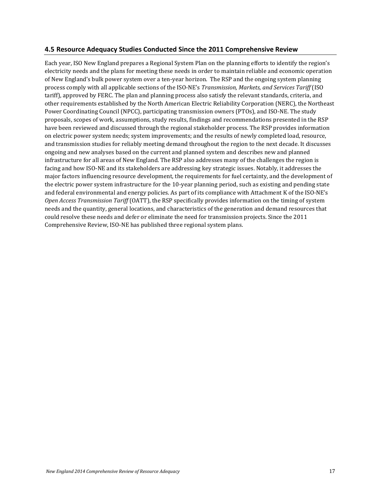## <span id="page-16-0"></span>**4.5 Resource Adequacy Studies Conducted Since the 2011 Comprehensive Review**

Each year, ISO New England prepares a Regional System Plan on the planning efforts to identify the region's electricity needs and the plans for meeting these needs in order to maintain reliable and economic operation of New England's bulk power system over a ten-year horizon. The RSP and the ongoing system planning process comply with all applicable sections of the ISO-NE's *Transmission, Markets, and Services Tariff* (ISO tariff), approved by FERC. The plan and planning process also satisfy the relevant standards, criteria, and other requirements established by the North American Electric Reliability Corporation (NERC), the Northeast Power Coordinating Council (NPCC), participating transmission owners (PTOs), and ISO-NE. The study proposals, scopes of work, assumptions, study results, findings and recommendations presented in the RSP have been reviewed and discussed through the regional stakeholder process. The RSP provides information on electric power system needs; system improvements; and the results of newly completed load, resource, and transmission studies for reliably meeting demand throughout the region to the next decade. It discusses ongoing and new analyses based on the current and planned system and describes new and planned infrastructure for all areas of New England. The RSP also addresses many of the challenges the region is facing and how ISO-NE and its stakeholders are addressing key strategic issues. Notably, it addresses the major factors influencing resource development, the requirements for fuel certainty, and the development of the electric power system infrastructure for the 10-year planning period, such as existing and pending state and federal environmental and energy policies. As part of its compliance with Attachment K of the ISO-NE's *Open Access Transmission Tariff* (OATT), the RSP specifically provides information on the timing of system needs and the quantity, general locations, and characteristics of the generation and demand resources that could resolve these needs and defer or eliminate the need for transmission projects. Since the 2011 Comprehensive Review, ISO-NE has published three regional system plans.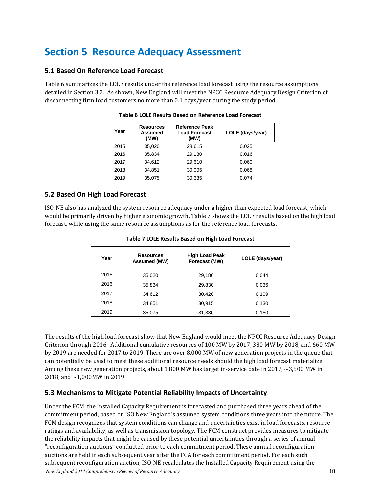## <span id="page-17-0"></span>**Section 5 Resource Adequacy Assessment**

## <span id="page-17-1"></span>**5.1 Based On Reference Load Forecast**

<span id="page-17-4"></span>Table 6 summarizes the LOLE results under the reference load forecast using the resource assumptions detailed in Section 3.2. As shown, New England will meet the NPCC Resource Adequacy Design Criterion of disconnecting firm load customers no more than 0.1 days/year during the study period.

| Year | <b>Resources</b><br>Assumed<br>(MW) | <b>Reference Peak</b><br><b>Load Forecast</b><br>(MW) | LOLE (days/year) |
|------|-------------------------------------|-------------------------------------------------------|------------------|
| 2015 | 35,020                              | 28,615                                                | 0.025            |
| 2016 | 35,834                              | 29,130                                                | 0.016            |
| 2017 | 34.612                              | 29.610                                                | 0.060            |
| 2018 | 34.851                              | 30.005                                                | 0.068            |
| 2019 | 35.075                              | 30,335                                                | 0.074            |

#### **Table 6 LOLE Results Based on Reference Load Forecast**

## <span id="page-17-2"></span>**5.2 Based On High Load Forecast**

<span id="page-17-5"></span>ISO-NE also has analyzed the system resource adequacy under a higher than expected load forecast, which would be primarily driven by higher economic growth. Table 7 shows the LOLE results based on the high load forecast, while using the same resource assumptions as for the reference load forecasts.

| Year | <b>Resources</b><br>Assumed (MW) | <b>High Load Peak</b><br>Forecast (MW) | LOLE (days/year) |
|------|----------------------------------|----------------------------------------|------------------|
| 2015 | 35,020                           | 29,180                                 | 0.044            |
| 2016 | 35,834                           | 29,830                                 | 0.036            |
| 2017 | 34,612                           | 30,420                                 | 0.109            |
| 2018 | 34,851                           | 30,915                                 | 0.130            |
| 2019 | 35,075                           | 31,330                                 | 0.150            |

#### **Table 7 LOLE Results Based on High Load Forecast**

The results of the high load forecast show that New England would meet the NPCC Resource Adequacy Design Criterion through 2016. Additional cumulative resources of 100 MW by 2017, 380 MW by 2018, and 660 MW by 2019 are needed for 2017 to 2019. There are over 8,000 MW of new generation projects in the queue that can potentially be used to meet these additional resource needs should the high load forecast materialize. Among these new generation projects, about 1,800 MW has target in-service date in 2017, ~3,500 MW in 2018, and ~1,000MW in 2019.

### <span id="page-17-3"></span>**5.3 Mechanisms to Mitigate Potential Reliability Impacts of Uncertainty**

*New England 2014 Comprehensive Review of Resource Adequacy* 18 Under the FCM, the Installed Capacity Requirement is forecasted and purchased three years ahead of the commitment period, based on ISO New England's assumed system conditions three years into the future. The FCM design recognizes that system conditions can change and uncertainties exist in load forecasts, resource ratings and availability, as well as transmission topology. The FCM construct provides measures to mitigate the reliability impacts that might be caused by these potential uncertainties through a series of annual "reconfiguration auctions" conducted prior to each commitment period. These annual reconfiguration auctions are held in each subsequent year after the FCA for each commitment period. For each such subsequent reconfiguration auction, ISO-NE recalculates the Installed Capacity Requirement using the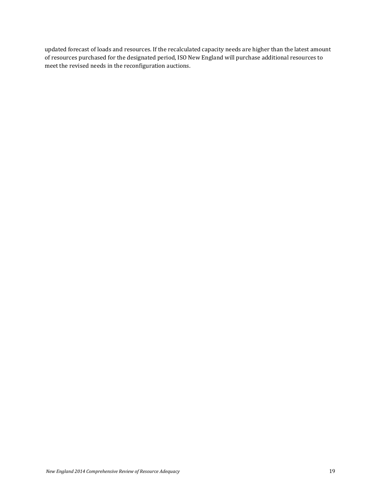updated forecast of loads and resources. If the recalculated capacity needs are higher than the latest amount of resources purchased for the designated period, ISO New England will purchase additional resources to meet the revised needs in the reconfiguration auctions.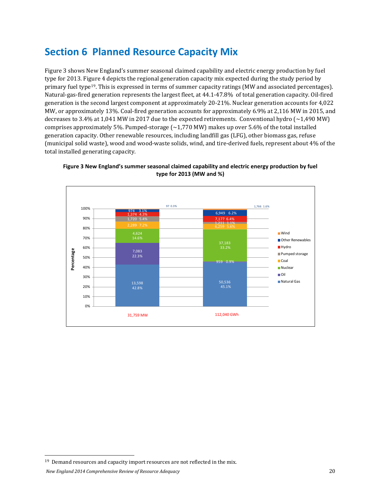## <span id="page-19-0"></span>**Section 6 Planned Resource Capacity Mix**

Figure 3 shows New England's summer seasonal claimed capability and electric energy production by fuel type for 2013. Figure 4 depicts the regional generation capacity mix expected during the study period by primary fuel type[19](#page-19-2). This is expressed in terms of summer capacity ratings (MW and associated percentages). Natural-gas-fired generation represents the largest fleet, at 44.1-47.8% of total generation capacity. Oil-fired generation is the second largest component at approximately 20-21%. Nuclear generation accounts for 4,022 MW, or approximately 13%. Coal-fired generation accounts for approximately 6.9% at 2,116 MW in 2015, and decreases to 3.4% at 1,041 MW in 2017 due to the expected retirements. Conventional hydro (~1,490 MW) comprises approximately 5%. Pumped-storage  $\sim$  1,770 MW) makes up over 5.6% of the total installed generation capacity. Other renewable resources, including landfill gas (LFG), other biomass gas, refuse (municipal solid waste), wood and wood-waste solids, wind, and tire-derived fuels, represent about 4% of the total installed generating capacity.



<span id="page-19-1"></span>**Figure 3 New England's summer seasonal claimed capability and electric energy production by fuel type for 2013 (MW and %)**

<span id="page-19-2"></span><sup>&</sup>lt;sup>19</sup> Demand resources and capacity import resources are not reflected in the mix.

*New England 2014 Comprehensive Review of Resource Adequacy* 20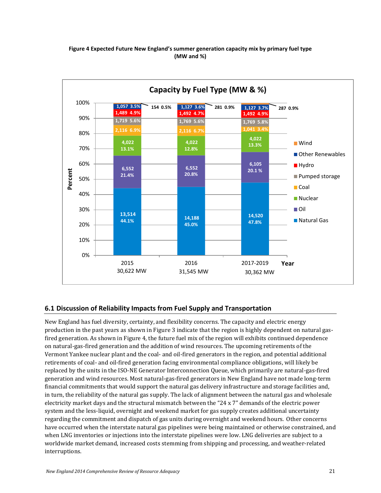#### **Figure 4 Expected Future New England's summer generation capacity mix by primary fuel type (MW and %)**

<span id="page-20-1"></span>

## <span id="page-20-0"></span>**6.1 Discussion of Reliability Impacts from Fuel Supply and Transportation**

New England has fuel diversity, certainty, and flexibility concerns. The capacity and electric energy production in the past years as shown in Figure 3 indicate that the region is highly dependent on natural gasfired generation. As shown in Figure 4, the future fuel mix of the region will exhibits continued dependence on natural-gas-fired generation and the addition of wind resources. The upcoming retirements of the Vermont Yankee nuclear plant and the coal- and oil-fired generators in the region, and potential additional retirements of coal- and oil-fired generation facing environmental compliance obligations, will likely be replaced by the units in the ISO-NE Generator Interconnection Queue, which primarily are natural-gas-fired generation and wind resources. Most natural-gas-fired generators in New England have not made long-term financial commitments that would support the natural gas delivery infrastructure and storage facilities and, in turn, the reliability of the natural gas supply. The lack of alignment between the natural gas and wholesale electricity market days and the structural mismatch between the "24 x 7" demands of the electric power system and the less-liquid, overnight and weekend market for gas supply creates additional uncertainty regarding the commitment and dispatch of gas units during overnight and weekend hours. Other concerns have occurred when the interstate natural gas pipelines were being maintained or otherwise constrained, and when LNG inventories or injections into the interstate pipelines were low. LNG deliveries are subject to a worldwide market demand, increased costs stemming from shipping and processing, and weather-related interruptions.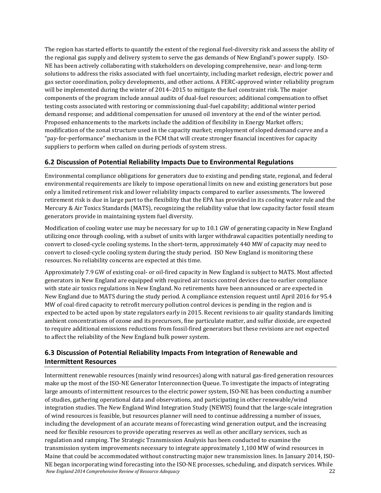The region has started efforts to quantify the extent of the regional fuel-diversity risk and assess the ability of the regional gas supply and delivery system to serve the gas demands of New England's power supply. ISO-NE has been actively collaborating with stakeholders on developing comprehensive, near- and long-term solutions to address the risks associated with fuel uncertainty, including market redesign, electric power and gas sector coordination, policy developments, and other actions. A FERC-approved winter reliability program will be implemented during the winter of 2014–2015 to mitigate the fuel constraint risk. The major components of the program include annual audits of dual-fuel resources; additional compensation to offset testing costs associated with restoring or commissioning dual-fuel capability; additional winter period demand response; and additional compensation for unused oil inventory at the end of the winter period. Proposed enhancements to the markets include the addition of flexibility in Energy Market offers; modification of the zonal structure used in the capacity market; employment of sloped demand curve and a "pay-for-performance" mechanism in the FCM that will create stronger financial incentives for capacity suppliers to perform when called on during periods of system stress.

## <span id="page-21-0"></span>**6.2 Discussion of Potential Reliability Impacts Due to Environmental Regulations**

Environmental compliance obligations for generators due to existing and pending state, regional, and federal environmental requirements are likely to impose operational limits on new and existing generators but pose only a limited retirement risk and lower reliability impacts compared to earlier assessments. The lowered retirement risk is due in large part to the flexibility that the EPA has provided in its cooling water rule and the Mercury & Air Toxics Standards (MATS), recognizing the reliability value that low capacity factor fossil steam generators provide in maintaining system fuel diversity.

Modification of cooling water use may be necessary for up to 10.1 GW of generating capacity in New England utilizing once through cooling, with a subset of units with larger withdrawal capacities potentially needing to convert to closed-cycle cooling systems. In the short-term, approximately 440 MW of capacity may need to convert to closed-cycle cooling system during the study period. ISO New England is monitoring these resources. No reliability concerns are expected at this time.

Approximately 7.9 GW of existing coal- or oil-fired capacity in New England is subject to MATS. Most affected generators in New England are equipped with required air toxics control devices due to earlier compliance with state air toxics regulations in New England. No retirements have been announced or are expected in New England due to MATS during the study period. A compliance extension request until April 2016 for 95.4 MW of coal-fired capacity to retrofit mercury pollution control devices is pending in the region and is expected to be acted upon by state regulators early in 2015. Recent revisions to air quality standards limiting ambient concentrations of ozone and its precursors, fine particulate matter, and sulfur dioxide, are expected to require additional emissions reductions from fossil-fired generators but these revisions are not expected to affect the reliability of the New England bulk power system.

## <span id="page-21-1"></span>**6.3 Discussion of Potential Reliability Impacts From Integration of Renewable and Intermittent Resources**

*New England 2014 Comprehensive Review of Resource Adequacy* 22 Intermittent renewable resources (mainly wind resources) along with natural gas-fired generation resources make up the most of the ISO-NE Generator Interconnection Queue. To investigate the impacts of integrating large amounts of intermittent resources to the electric power system, ISO-NE has been conducting a number of studies, gathering operational data and observations, and participating in other renewable/wind integration studies. The New England Wind Integration Study (NEWIS) found that the large-scale integration of wind resources is feasible, but resources planner will need to continue addressing a number of issues, including the development of an accurate means of forecasting wind generation output, and the increasing need for flexible resources to provide operating reserves as well as other ancillary services, such as regulation and ramping. The Strategic Transmission Analysis has been conducted to examine the transmission system improvements necessary to integrate approximately 1,100 MW of wind resources in Maine that could be accommodated without constructing major new transmission lines. In January 2014, ISO-NE began incorporating wind forecasting into the ISO-NE processes, scheduling, and dispatch services. While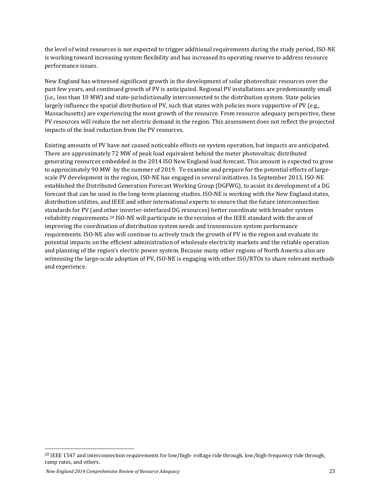the level of wind resources is not expected to trigger additional requirements during the study period, ISO-NE is working toward increasing system flexibility and has increased its operating reserve to address resource performance issues.

New England has witnessed significant growth in the development of solar photovoltaic resources over the past few years, and continued growth of PV is anticipated. Regional PV installations are predominantly small (i.e., less than 10 MW) and state-jurisdictionally interconnected to the distribution system. State policies largely influence the spatial distribution of PV, such that states with policies more supportive of PV (e.g., Massachusetts) are experiencing the most growth of the resource. From resource adequacy perspective, these PV resources will reduce the net electric demand in the region. This assessment does not reflect the projected impacts of the load reduction from the PV resources.

Existing amounts of PV have not caused noticeable effects on system operation, but impacts are anticipated. There are approximately 72 MW of peak load equivalent behind the meter photovoltaic distributed generating resources embedded in the 2014 ISO New England load forecast. This amount is expected to grow to approximately 90 MW by the summer of 2019. To examine and prepare for the potential effects of largescale PV development in the region, ISO-NE has engaged in several initiatives. In September 2013, ISO-NE established the Distributed Generation Forecast Working Group (DGFWG), to assist its development of a DG forecast that can be used in the long-term planning studies. ISO-NE is working with the New England states, distribution utilities, and IEEE and other international experts to ensure that the future interconnection standards for PV (and other inverter-interfaced DG resources) better coordinate with broader system reliability requirements.[20](#page-22-0) ISO-NE will participate in the revision of the IEEE standard with the aim of improving the coordination of distribution system needs and transmission system performance requirements. ISO-NE also will continue to actively track the growth of PV in the region and evaluate its potential impacts on the efficient administration of wholesale electricity markets and the reliable operation and planning of the region's electric power system. Because many other regions of North America also are witnessing the large-scale adoption of PV, ISO-NE is engaging with other ISO/RTOs to share relevant methods and experience.

<span id="page-22-0"></span><sup>&</sup>lt;sup>20</sup> IEEE 1547 and interconnection requirements for low/high- voltage ride through, low/high-frequency ride through, ramp rates, and others.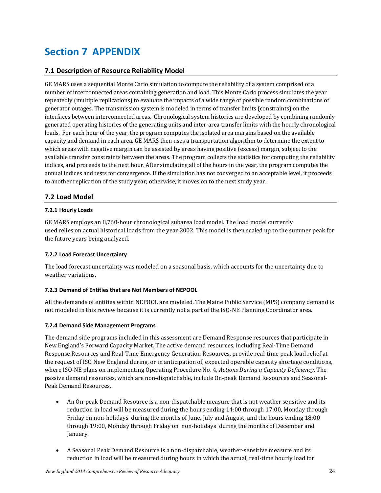## <span id="page-23-0"></span>**Section 7 APPENDIX**

## <span id="page-23-1"></span>**7.1 Description of Resource Reliability Model**

GE MARS uses a sequential Monte Carlo simulation to compute the reliability of a system comprised of a number of interconnected areas containing generation and load. This Monte Carlo process simulates the year repeatedly (multiple replications) to evaluate the impacts of a wide range of possible random combinations of generator outages. The transmission system is modeled in terms of transfer limits (constraints) on the interfaces between interconnected areas. Chronological system histories are developed by combining randomly generated operating histories of the generating units and inter-area transfer limits with the hourly chronological loads. For each hour of the year, the program computes the isolated area margins based on the available capacity and demand in each area. GE MARS then uses a transportation algorithm to determine the extent to which areas with negative margin can be assisted by areas having positive (excess) margin, subject to the available transfer constraints between the areas. The program collects the statistics for computing the reliability indices, and proceeds to the next hour. After simulating all of the hours in the year, the program computes the annual indices and tests for convergence. If the simulation has not converged to an acceptable level, it proceeds to another replication of the study year; otherwise, it moves on to the next study year.

## <span id="page-23-2"></span>**7.2 Load Model**

#### <span id="page-23-3"></span>**7.2.1 Hourly Loads**

GE MARS employs an 8,760-hour chronological subarea load model. The load model currently used relies on actual historical loads from the year 2002. This model is then scaled up to the summer peak for the future years being analyzed.

### <span id="page-23-4"></span>**7.2.2 Load Forecast Uncertainty**

The load forecast uncertainty was modeled on a seasonal basis, which accounts for the uncertainty due to weather variations.

### <span id="page-23-5"></span>**7.2.3 Demand of Entities that are Not Members of NEPOOL**

All the demands of entities within NEPOOL are modeled. The Maine Public Service (MPS) company demand is not modeled in this review because it is currently not a part of the ISO-NE Planning Coordinator area.

### <span id="page-23-6"></span>**7.2.4 Demand Side Management Programs**

The demand side programs included in this assessment are Demand Response resources that participate in New England's Forward Capacity Market. The active demand resources, including Real-Time Demand Response Resources and Real-Time Emergency Generation Resources, provide real-time peak load relief at the request of ISO New England during, or in anticipation of, expected operable capacity shortage conditions, where ISO-NE plans on implementing Operating Procedure No. 4, *Actions During a Capacity Deficiency*. The passive demand resources, which are non-dispatchable, include On-peak Demand Resources and Seasonal-Peak Demand Resources.

- An On-peak Demand Resource is a non-dispatchable measure that is not weather sensitive and its reduction in load will be measured during the hours ending 14:00 through 17:00, Monday through Friday on non-holidays during the months of June, July and August, and the hours ending 18:00 through 19:00, Monday through Friday on non-holidays during the months of December and January.
- A Seasonal Peak Demand Resource is a non-dispatchable, weather-sensitive measure and its reduction in load will be measured during hours in which the actual, real-time hourly load for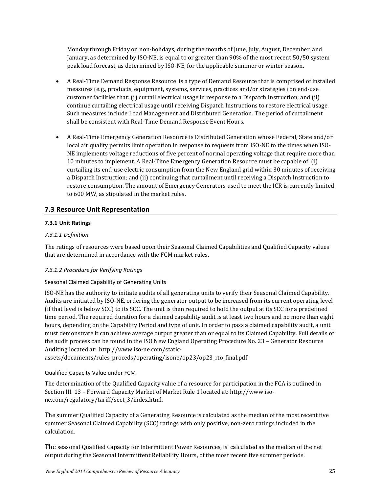Monday through Friday on non-holidays, during the months of June, July, August, December, and January, as determined by ISO-NE, is equal to or greater than 90% of the most recent 50/50 system peak load forecast, as determined by ISO-NE, for the applicable summer or winter season.

- A Real-Time Demand Response Resource is a type of Demand Resource that is comprised of installed measures (e.g., products, equipment, systems, services, practices and/or strategies) on end-use customer facilities that: (i) curtail electrical usage in response to a Dispatch Instruction; and (ii) continue curtailing electrical usage until receiving Dispatch Instructions to restore electrical usage. Such measures include Load Management and Distributed Generation. The period of curtailment shall be consistent with Real-Time Demand Response Event Hours.
- A Real-Time Emergency Generation Resource is Distributed Generation whose Federal, State and/or local air quality permits limit operation in response to requests from ISO-NE to the times when ISO-NE implements voltage reductions of five percent of normal operating voltage that require more than 10 minutes to implement. A Real-Time Emergency Generation Resource must be capable of: (i) curtailing its end-use electric consumption from the New England grid within 30 minutes of receiving a Dispatch Instruction; and (ii) continuing that curtailment until receiving a Dispatch Instruction to restore consumption. The amount of Emergency Generators used to meet the ICR is currently limited to 600 MW, as stipulated in the market rules.

## <span id="page-24-0"></span>**7.3 Resource Unit Representation**

#### <span id="page-24-1"></span>**7.3.1 Unit Ratings**

#### *7.3.1.1 Definition*

The ratings of resources were based upon their Seasonal Claimed Capabilities and Qualified Capacity values that are determined in accordance with the FCM market rules.

#### *7.3.1.2 Procedure for Verifying Ratings*

#### Seasonal Claimed Capability of Generating Units

ISO-NE has the authority to initiate audits of all generating units to verify their Seasonal Claimed Capability. Audits are initiated by ISO-NE, ordering the generator output to be increased from its current operating level (if that level is below SCC) to its SCC. The unit is then required to hold the output at its SCC for a predefined time period. The required duration for a claimed capability audit is at least two hours and no more than eight hours, depending on the Capability Period and type of unit. In order to pass a claimed capability audit, a unit must demonstrate it can achieve average output greater than or equal to its Claimed Capability. Full details of the audit process can be found in the ISO New England Operating Procedure No. 23 – Generator Resource Auditing located at:. http://www.iso-ne.com/static-

assets/documents/rules\_proceds/operating/isone/op23/op23\_rto\_final.pdf.

#### Qualified Capacity Value under FCM

The determination of the Qualified Capacity value of a resource for participation in the FCA is outlined in Section III. 13 – Forward Capacity Market of Market Rule 1 located at: [http://www.iso](http://www.iso-ne.com/regulatory/tariff/sect_3/index.html)[ne.com/regulatory/tariff/sect\\_3/index.html.](http://www.iso-ne.com/regulatory/tariff/sect_3/index.html)

The summer Qualified Capacity of a Generating Resource is calculated as the median of the most recent five summer Seasonal Claimed Capability (SCC) ratings with only positive, non-zero ratings included in the calculation.

The seasonal Qualified Capacity for Intermittent Power Resources, is calculated as the median of the net output during the Seasonal Intermittent Reliability Hours, of the most recent five summer periods.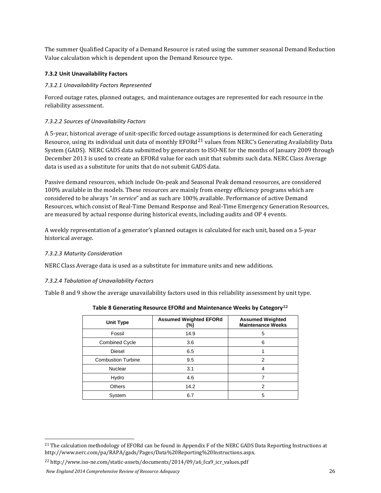The summer Qualified Capacity of a Demand Resource is rated using the summer seasonal Demand Reduction Value calculation which is dependent upon the Demand Resource type.

#### <span id="page-25-0"></span>**7.3.2 Unit Unavailability Factors**

#### *7.3.2.1 Unavailability Factors Represented*

Forced outage rates, planned outages, and maintenance outages are represented for each resource in the reliability assessment.

#### *7.3.2.2 Sources of Unavailability Factors*

A 5-year, historical average of unit-specific forced outage [ass](#page-25-2)umptions is determined for each Generating Resource, using its individual unit data of monthly  $EFORd^{21}$  values from NERC's Generating Availability Data System (GADS). NERC GADS data submitted by generators to ISO-NE for the months of January 2009 through December 2013 is used to create an EFORd value for each unit that submits such data. NERC Class Average data is used as a substitute for units that do not submit GADS data.

Passive demand resources, which include On-peak and Seasonal Peak demand resources, are considered 100% available in the models. These resources are mainly from energy efficiency programs which are considered to be always "*in service*" and as such are 100% available. Performance of active Demand Resources, which consist of Real-Time Demand Response and Real-Time Emergency Generation Resources, are measured by actual response during historical events, including audits and OP 4 events.

A weekly representation of a generator's planned outages is calculated for each unit, based on a 5-year historical average.

#### *7.3.2.3 Maturity Consideration*

NERC Class Average data is used as a substitute for immature units and new additions.

### *7.3.2.4 Tabulation of Unavailability Factors*

<span id="page-25-1"></span>Table 8 and 9 show the average unavailability factors used in this reliability assessment by unit type.

| Unit Type                 | <b>Assumed Weighted EFORd</b><br>$(\%)$ | <b>Assumed Weighted</b><br><b>Maintenance Weeks</b> |
|---------------------------|-----------------------------------------|-----------------------------------------------------|
| Fossil                    | 14.9                                    | 5                                                   |
| <b>Combined Cycle</b>     | 3.6                                     | 6                                                   |
| <b>Diesel</b>             | 6.5                                     |                                                     |
| <b>Combustion Turbine</b> | 9.5                                     | 2                                                   |
| <b>Nuclear</b>            | 3.1                                     | 4                                                   |
| Hydro                     | 4.6                                     |                                                     |
| <b>Others</b>             | 14.2                                    | 2                                                   |
| System                    | 6.7                                     | 5                                                   |

**Table 8 Generating Resource EFORd and Maintenance Weeks by Category[22](#page-25-3)**

<span id="page-25-3"></span><sup>22</sup> http://www.iso-ne.com/static-assets/documents/2014/09/a6\_fca9\_icr\_values.pdf

<span id="page-25-2"></span><sup>&</sup>lt;sup>21</sup> The calculation methodology of EFORd can be found in Appendix F of the NERC GADS Data Reporting Instructions at http://www.nerc.com/pa/RAPA/gads/Pages/Data%20Reporting%20Instructions.aspx.

*New England 2014 Comprehensive Review of Resource Adequacy* 26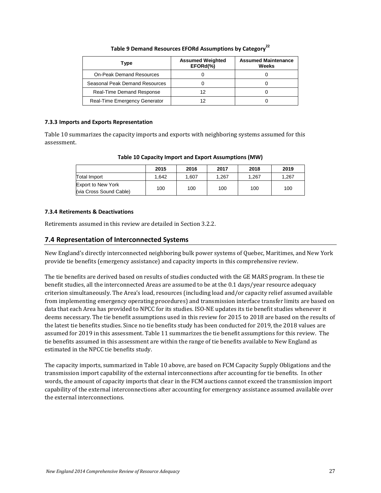| Table 9 Demand Resources EFORd Assumptions by Category <sup>22</sup> |  |
|----------------------------------------------------------------------|--|
|                                                                      |  |

<span id="page-26-3"></span>

| Type                            | <b>Assumed Weighted</b><br>EFORd(%) | <b>Assumed Maintenance</b><br>Weeks |
|---------------------------------|-------------------------------------|-------------------------------------|
| <b>On-Peak Demand Resources</b> |                                     |                                     |
| Seasonal Peak Demand Resources  |                                     |                                     |
| Real-Time Demand Response       | 12                                  |                                     |
| Real-Time Emergency Generator   |                                     |                                     |

#### <span id="page-26-0"></span>**7.3.3 Imports and Exports Representation**

<span id="page-26-4"></span>Table 10 summarizes the capacity imports and exports with neighboring systems assumed for this assessment.

| Table 10 Capacity Import and Export Assumptions (MW) |  |  |
|------------------------------------------------------|--|--|
|------------------------------------------------------|--|--|

|                                                      | 2015  | 2016  | 2017  | 2018  | 2019  |
|------------------------------------------------------|-------|-------|-------|-------|-------|
| <b>Total Import</b>                                  | 1.642 | 1.607 | 1.267 | 1.267 | 1.267 |
| <b>Export to New York</b><br>(via Cross Sound Cable) | 100   | 100   | 100   | 100   | 100   |

#### <span id="page-26-1"></span>**7.3.4 Retirements & Deactivations**

Retirements assumed in this review are detailed in Section 3.2.2.

### <span id="page-26-2"></span>**7.4 Representation of Interconnected Systems**

New England's directly interconnected neighboring bulk power systems of Quebec, Maritimes, and New York provide tie benefits (emergency assistance) and capacity imports in this comprehensive review.

The tie benefits are derived based on results of studies conducted with the GE MARS program. In these tie benefit studies, all the interconnected Areas are assumed to be at the 0.1 days/year resource adequacy criterion simultaneously. The Area's load, resources (including load and/or capacity relief assumed available from implementing emergency operating procedures) and transmission interface transfer limits are based on data that each Area has provided to NPCC for its studies. ISO-NE updates its tie benefit studies whenever it deems necessary. The tie benefit assumptions used in this review for 2015 to 2018 are based on the results of the latest tie benefits studies. Since no tie benefits study has been conducted for 2019, the 2018 values are assumed for 2019 in this assessment. Table 11 summarizes the tie benefit assumptions for this review. The tie benefits assumed in this assessment are within the range of tie benefits available to New England as estimated in the NPCC tie benefits study.

The capacity imports, summarized in Table 10 above, are based on FCM Capacity Supply Obligations and the transmission import capability of the external interconnections after accounting for tie benefits. In other words, the amount of capacity imports that clear in the FCM auctions cannot exceed the transmission import capability of the external interconnections after accounting for emergency assistance assumed available over the external interconnections.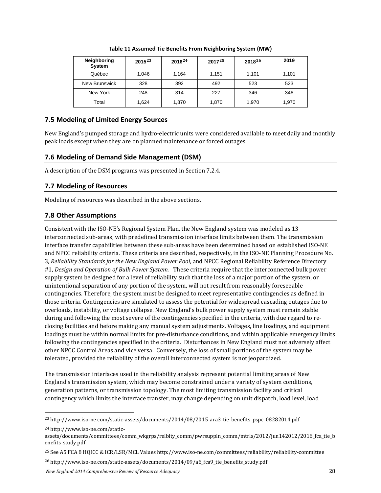<span id="page-27-4"></span>

| <b>Neighboring</b><br>System | $2015^{23}$ | $2016^{24}$ | $2017^{25}$ | $2018^{26}$ | 2019  |
|------------------------------|-------------|-------------|-------------|-------------|-------|
| Québec                       | 1.046       | 1,164       | 1,151       | 1,101       | 1,101 |
| New Brunswick                | 328         | 392         | 492         | 523         | 523   |
| New York                     | 248         | 314         | 227         | 346         | 346   |
| Total                        | 1,624       | 1,870       | 1,870       | 1,970       | 1,970 |

**Table 11 Assumed Tie Benefits From Neighboring System (MW)**

## <span id="page-27-0"></span>**7.5 Modeling of Limited Energy Sources**

New England's pumped storage and hydro-electric units were considered available to meet daily and monthly peak loads except when they are on planned maintenance or forced outages.

## <span id="page-27-1"></span>**7.6 Modeling of Demand Side Management (DSM)**

A description of the DSM programs was presented in Section 7.2.4.

## <span id="page-27-2"></span>**7.7 Modeling of Resources**

Modeling of resources was described in the above sections.

## <span id="page-27-3"></span>**7.8 Other Assumptions**

Consistent with the ISO-NE's Regional System Plan, the New England system was modeled as 13 interconnected sub-areas, with predefined transmission interface limits between them. The transmission interface transfer capabilities between these sub-areas have been determined based on established ISO-NE and NPCC reliability criteria. These criteria are described, respectively, in the ISO-NE Planning Procedure No. 3, *Reliability Standards for the New England Power Pool*, and NPCC Regional Reliability Reference Directory #1, *Design and Operation of Bulk Power System.* These criteria require that the interconnected bulk power supply system be designed for a level of reliability such that the loss of a major portion of the system, or unintentional separation of any portion of the system, will not result from reasonably foreseeable contingencies. Therefore, the system must be designed to meet representative contingencies as defined in those criteria. Contingencies are simulated to assess the potential for widespread cascading outages due to overloads, instability, or voltage collapse. New England's bulk power supply system must remain stable during and following the most severe of the contingencies specified in the criteria, with due regard to reclosing facilities and before making any manual system adjustments. Voltages, line loadings, and equipment loadings must be within normal limits for pre-disturbance conditions, and within applicable emergency limits following the contingencies specified in the criteria. Disturbances in New England must not adversely affect other NPCC Control Areas and vice versa. Conversely, the loss of small portions of the system may be tolerated, provided the reliability of the overall interconnected system is not jeopardized.

The transmission interfaces used in the reliability analysis represent potential limiting areas of New England's transmission system, which may become constrained under a variety of system conditions, generation patterns, or transmission topology. The most limiting transmission facility and critical contingency which limits the interface transfer, may change depending on unit dispatch, load level, load

<span id="page-27-6"></span><sup>24</sup> http://www.iso-ne.com/static-

<span id="page-27-8"></span><sup>26</sup> http://www.iso-ne.com/static-assets/documents/2014/09/a6\_fca9\_tie\_benefits\_study.pdf

<span id="page-27-5"></span> <sup>23</sup> http://www.iso-ne.com/static-assets/documents/2014/08/2015\_ara3\_tie\_benefits\_pspc\_08282014.pdf

assets/documents/committees/comm\_wkgrps/relblty\_comm/pwrsuppln\_comm/mtrls/2012/jun142012/2016\_fca\_tie\_b enefits\_study.pdf

<span id="page-27-7"></span><sup>25</sup> See A5 FCA 8 HQICC & ICR/LSR/MCL Values http://www.iso-ne.com/committees/reliability/reliability-committee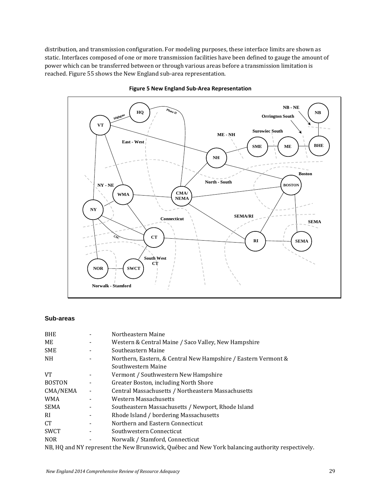distribution, and transmission configuration. For modeling purposes, these interface limits are shown as static. Interfaces composed of one or more transmission facilities have been defined to gauge the amount of power which can be transferred between or through various areas before a transmission limitation is reached[. Figure 55](#page-28-0) shows the New England sub-area representation.

<span id="page-28-0"></span>



#### **Sub-areas**

| <b>BHE</b>      | Northeastern Maine                                                                               |
|-----------------|--------------------------------------------------------------------------------------------------|
| ME              | Western & Central Maine / Saco Valley, New Hampshire                                             |
| <b>SME</b>      | Southeastern Maine                                                                               |
| NH.             | Northern, Eastern, & Central New Hampshire / Eastern Vermont &                                   |
|                 | Southwestern Maine                                                                               |
| <b>VT</b>       | Vermont / Southwestern New Hampshire                                                             |
| <b>BOSTON</b>   | Greater Boston, including North Shore                                                            |
| CMA/NEMA        | Central Massachusetts / Northeastern Massachusetts                                               |
| <b>WMA</b>      | Western Massachusetts                                                                            |
| <b>SEMA</b>     | Southeastern Massachusetts / Newport, Rhode Island                                               |
| <sub>RI</sub>   | Rhode Island / bordering Massachusetts                                                           |
| CT <sup>-</sup> | Northern and Eastern Connecticut                                                                 |
| <b>SWCT</b>     | Southwestern Connecticut                                                                         |
| <b>NOR</b>      | Norwalk / Stamford, Connecticut                                                                  |
|                 | NB, HQ and NY represent the New Brunswick, Québec and New York balancing authority respectively. |
|                 |                                                                                                  |